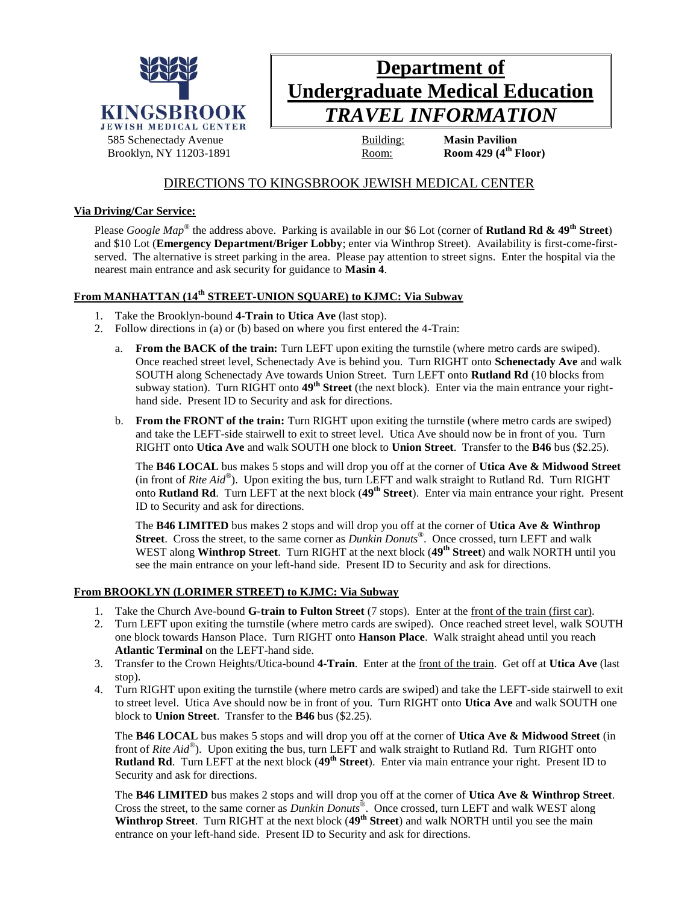

# **Department of Undergraduate Medical Education** *TRAVEL INFORMATION*

# DIRECTIONS TO KINGSBROOK JEWISH MEDICAL CENTER

## **Via Driving/Car Service:**

Please *Google Map®* the address above. Parking is available in our \$6 Lot (corner of **Rutland Rd & 49th Street**) and \$10 Lot (**Emergency Department/Briger Lobby**; enter via Winthrop Street). Availability is first-come-firstserved. The alternative is street parking in the area. Please pay attention to street signs. Enter the hospital via the nearest main entrance and ask security for guidance to **Masin 4**.

# **From MANHATTAN (14th STREET-UNION SQUARE) to KJMC: Via Subway**

- 1. Take the Brooklyn-bound **4-Train** to **Utica Ave** (last stop).
- 2. Follow directions in (a) or (b) based on where you first entered the 4-Train:
	- a. **From the BACK of the train:** Turn LEFT upon exiting the turnstile (where metro cards are swiped). Once reached street level, Schenectady Ave is behind you. Turn RIGHT onto **Schenectady Ave** and walk SOUTH along Schenectady Ave towards Union Street. Turn LEFT onto **Rutland Rd** (10 blocks from subway station). Turn RIGHT onto **49th Street** (the next block). Enter via the main entrance your righthand side. Present ID to Security and ask for directions.
	- b. **From the FRONT of the train:** Turn RIGHT upon exiting the turnstile (where metro cards are swiped) and take the LEFT-side stairwell to exit to street level. Utica Ave should now be in front of you. Turn RIGHT onto **Utica Ave** and walk SOUTH one block to **Union Street**. Transfer to the **B46** bus (\$2.25).

The **B46 LOCAL** bus makes 5 stops and will drop you off at the corner of **Utica Ave & Midwood Street** (in front of *Rite Aid®* ). Upon exiting the bus, turn LEFT and walk straight to Rutland Rd. Turn RIGHT onto **Rutland Rd**. Turn LEFT at the next block (**49th Street**). Enter via main entrance your right. Present ID to Security and ask for directions.

The **B46 LIMITED** bus makes 2 stops and will drop you off at the corner of **Utica Ave & Winthrop Street**. Cross the street, to the same corner as *Dunkin Donuts®* . Once crossed, turn LEFT and walk WEST along **Winthrop Street**. Turn RIGHT at the next block (**49th Street**) and walk NORTH until you see the main entrance on your left-hand side. Present ID to Security and ask for directions.

#### **From BROOKLYN (LORIMER STREET) to KJMC: Via Subway**

- 1. Take the Church Ave-bound **G-train to Fulton Street** (7 stops). Enter at the front of the train (first car).
- 2. Turn LEFT upon exiting the turnstile (where metro cards are swiped). Once reached street level, walk SOUTH one block towards Hanson Place. Turn RIGHT onto **Hanson Place**. Walk straight ahead until you reach **Atlantic Terminal** on the LEFT-hand side.
- 3. Transfer to the Crown Heights/Utica-bound **4-Train**. Enter at the front of the train. Get off at **Utica Ave** (last stop).
- 4. Turn RIGHT upon exiting the turnstile (where metro cards are swiped) and take the LEFT-side stairwell to exit to street level. Utica Ave should now be in front of you. Turn RIGHT onto **Utica Ave** and walk SOUTH one block to **Union Street**. Transfer to the **B46** bus (\$2.25).

The **B46 LOCAL** bus makes 5 stops and will drop you off at the corner of **Utica Ave & Midwood Street** (in front of *Rite Aid®* ). Upon exiting the bus, turn LEFT and walk straight to Rutland Rd. Turn RIGHT onto **Rutland Rd**. Turn LEFT at the next block (**49th Street**). Enter via main entrance your right. Present ID to Security and ask for directions.

The **B46 LIMITED** bus makes 2 stops and will drop you off at the corner of **Utica Ave & Winthrop Street**. Cross the street, to the same corner as *Dunkin Donuts®* . Once crossed, turn LEFT and walk WEST along **Winthrop Street**. Turn RIGHT at the next block (**49th Street**) and walk NORTH until you see the main entrance on your left-hand side. Present ID to Security and ask for directions.